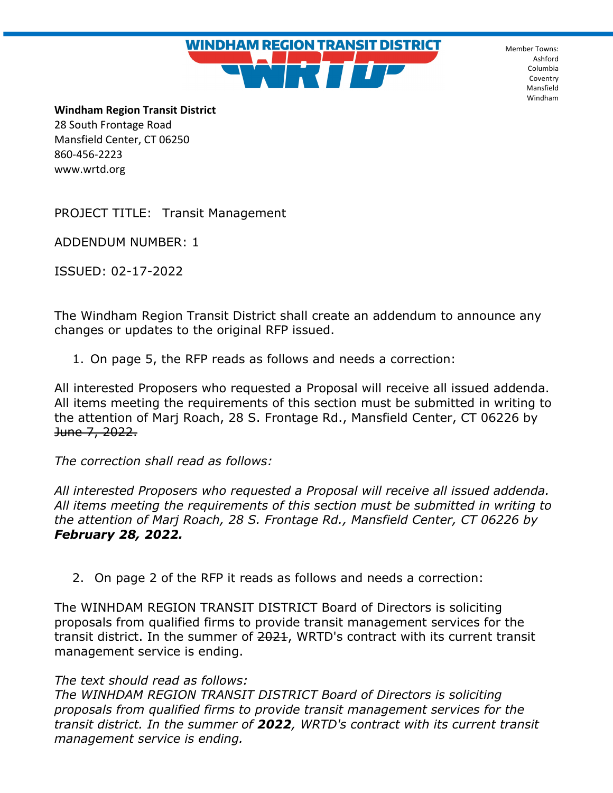Member Towns: Ashford Columbia Coventry Mansfield Windham

**Windham Region Transit District** 28 South Frontage Road Mansfield Center, CT 06250 860-456-2223 www.wrtd.org

PROJECT TITLE: Transit Management

ADDENDUM NUMBER: 1

ISSUED: 02-17-2022

The Windham Region Transit District shall create an addendum to announce any changes or updates to the original RFP issued.

**WINDHAM REGION TRANSIT DISTRICT** 

1. On page 5, the RFP reads as follows and needs a correction:

All interested Proposers who requested a Proposal will receive all issued addenda. All items meeting the requirements of this section must be submitted in writing to the attention of Marj Roach, 28 S. Frontage Rd., Mansfield Center, CT 06226 by June 7, 2022.

*The correction shall read as follows:* 

*All interested Proposers who requested a Proposal will receive all issued addenda. All items meeting the requirements of this section must be submitted in writing to the attention of Marj Roach, 28 S. Frontage Rd., Mansfield Center, CT 06226 by February 28, 2022.* 

2. On page 2 of the RFP it reads as follows and needs a correction:

The WINHDAM REGION TRANSIT DISTRICT Board of Directors is soliciting proposals from qualified firms to provide transit management services for the transit district. In the summer of 2021, WRTD's contract with its current transit management service is ending.

## *The text should read as follows:*

*The WINHDAM REGION TRANSIT DISTRICT Board of Directors is soliciting proposals from qualified firms to provide transit management services for the transit district. In the summer of 2022, WRTD's contract with its current transit management service is ending.*